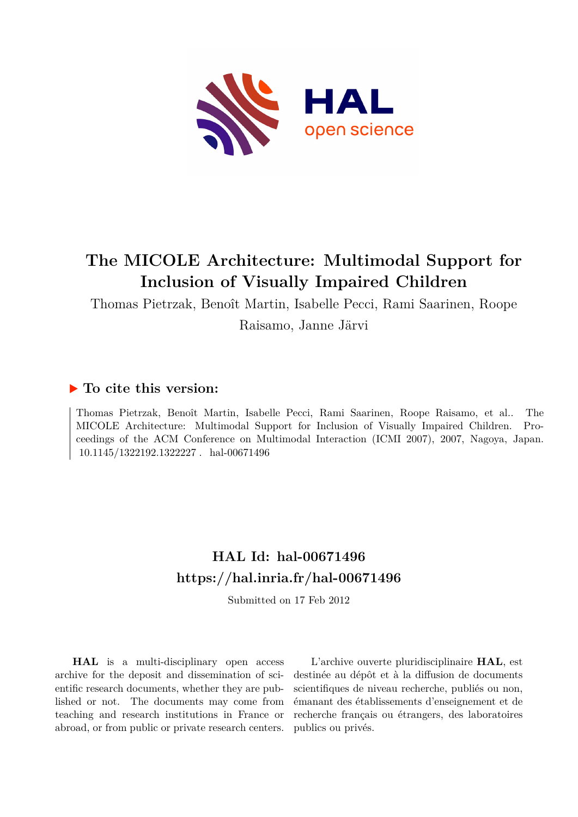

# **The MICOLE Architecture: Multimodal Support for Inclusion of Visually Impaired Children**

Thomas Pietrzak, Benoît Martin, Isabelle Pecci, Rami Saarinen, Roope Raisamo, Janne Järvi

## **To cite this version:**

Thomas Pietrzak, Benoît Martin, Isabelle Pecci, Rami Saarinen, Roope Raisamo, et al.. The MICOLE Architecture: Multimodal Support for Inclusion of Visually Impaired Children. Proceedings of the ACM Conference on Multimodal Interaction (ICMI 2007), 2007, Nagoya, Japan. 10.1145/1322192.1322227 . hal-00671496

## **HAL Id: hal-00671496 <https://hal.inria.fr/hal-00671496>**

Submitted on 17 Feb 2012

**HAL** is a multi-disciplinary open access archive for the deposit and dissemination of scientific research documents, whether they are published or not. The documents may come from teaching and research institutions in France or abroad, or from public or private research centers.

L'archive ouverte pluridisciplinaire **HAL**, est destinée au dépôt et à la diffusion de documents scientifiques de niveau recherche, publiés ou non, émanant des établissements d'enseignement et de recherche français ou étrangers, des laboratoires publics ou privés.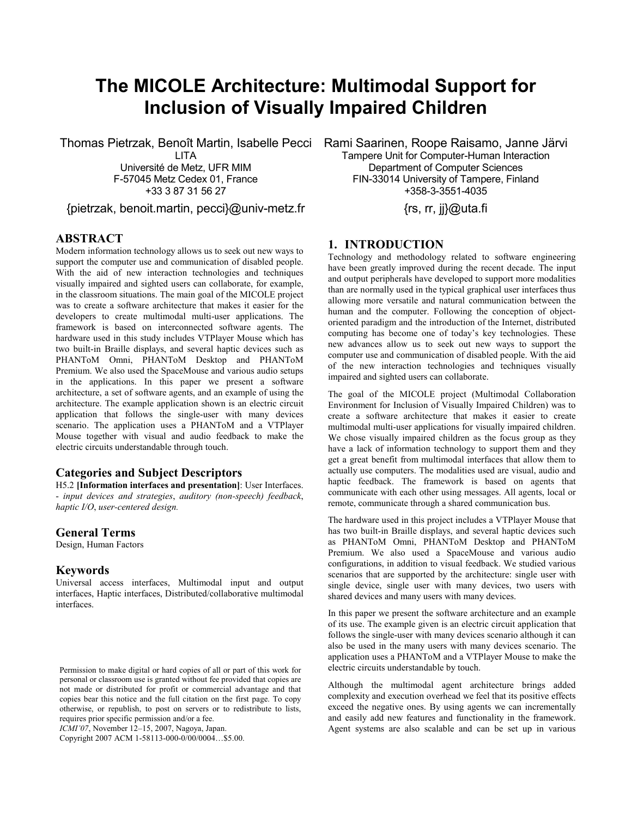# The MICOLE Architecture: Multimodal Support for Inclusion of Visually Impaired Children

LITA Université de Metz, UFR MIM F-57045 Metz Cedex 01, France +33 3 87 31 56 27

{pietrzak, benoit.martin, pecci}@univ-metz.fr

## ABSTRACT

Modern information technology allows us to seek out new ways to support the computer use and communication of disabled people. With the aid of new interaction technologies and techniques visually impaired and sighted users can collaborate, for example, in the classroom situations. The main goal of the MICOLE project was to create a software architecture that makes it easier for the developers to create multimodal multi-user applications. The framework is based on interconnected software agents. The hardware used in this study includes VTPlayer Mouse which has two built-in Braille displays, and several haptic devices such as PHANToM Omni, PHANToM Desktop and PHANToM Premium. We also used the SpaceMouse and various audio setups in the applications. In this paper we present a software architecture, a set of software agents, and an example of using the architecture. The example application shown is an electric circuit application that follows the single-user with many devices scenario. The application uses a PHANToM and a VTPlayer Mouse together with visual and audio feedback to make the electric circuits understandable through touch.

#### Categories and Subject Descriptors

H5.2 [Information interfaces and presentation]: User Interfaces. - input devices and strategies, auditory (non-speech) feedback, haptic I/O, user-centered design.

#### General Terms

Design, Human Factors

## Keywords

Universal access interfaces, Multimodal input and output interfaces, Haptic interfaces, Distributed/collaborative multimodal interfaces.

ICMI'07, November 12–15, 2007, Nagoya, Japan.

Copyright 2007 ACM 1-58113-000-0/00/0004…\$5.00.

Thomas Pietrzak, Benoît Martin, Isabelle Pecci Rami Saarinen, Roope Raisamo, Janne Järvi

Tampere Unit for Computer-Human Interaction Department of Computer Sciences FIN-33014 University of Tampere, Finland +358-3-3551-4035

{rs, rr, jj}@uta.fi

## 1. INTRODUCTION

Technology and methodology related to software engineering have been greatly improved during the recent decade. The input and output peripherals have developed to support more modalities than are normally used in the typical graphical user interfaces thus allowing more versatile and natural communication between the human and the computer. Following the conception of objectoriented paradigm and the introduction of the Internet, distributed computing has become one of today's key technologies. These new advances allow us to seek out new ways to support the computer use and communication of disabled people. With the aid of the new interaction technologies and techniques visually impaired and sighted users can collaborate.

The goal of the MICOLE project (Multimodal Collaboration Environment for Inclusion of Visually Impaired Children) was to create a software architecture that makes it easier to create multimodal multi-user applications for visually impaired children. We chose visually impaired children as the focus group as they have a lack of information technology to support them and they get a great benefit from multimodal interfaces that allow them to actually use computers. The modalities used are visual, audio and haptic feedback. The framework is based on agents that communicate with each other using messages. All agents, local or remote, communicate through a shared communication bus.

The hardware used in this project includes a VTPlayer Mouse that has two built-in Braille displays, and several haptic devices such as PHANToM Omni, PHANToM Desktop and PHANToM Premium. We also used a SpaceMouse and various audio configurations, in addition to visual feedback. We studied various scenarios that are supported by the architecture: single user with single device, single user with many devices, two users with shared devices and many users with many devices.

In this paper we present the software architecture and an example of its use. The example given is an electric circuit application that follows the single-user with many devices scenario although it can also be used in the many users with many devices scenario. The application uses a PHANToM and a VTPlayer Mouse to make the electric circuits understandable by touch.

Although the multimodal agent architecture brings added complexity and execution overhead we feel that its positive effects exceed the negative ones. By using agents we can incrementally and easily add new features and functionality in the framework. Agent systems are also scalable and can be set up in various

Permission to make digital or hard copies of all or part of this work for personal or classroom use is granted without fee provided that copies are not made or distributed for profit or commercial advantage and that copies bear this notice and the full citation on the first page. To copy otherwise, or republish, to post on servers or to redistribute to lists, requires prior specific permission and/or a fee.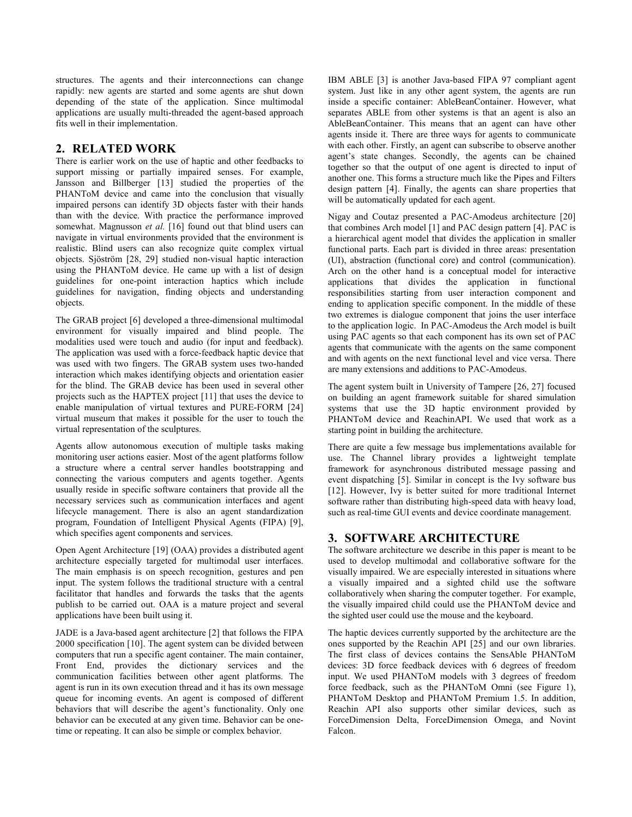structures. The agents and their interconnections can change rapidly: new agents are started and some agents are shut down depending of the state of the application. Since multimodal applications are usually multi-threaded the agent-based approach fits well in their implementation.

## 2. RELATED WORK

There is earlier work on the use of haptic and other feedbacks to support missing or partially impaired senses. For example, Jansson and Billberger [13] studied the properties of the PHANToM device and came into the conclusion that visually impaired persons can identify 3D objects faster with their hands than with the device. With practice the performance improved somewhat. Magnusson et al. [16] found out that blind users can navigate in virtual environments provided that the environment is realistic. Blind users can also recognize quite complex virtual objects. Sjöström [28, 29] studied non-visual haptic interaction using the PHANToM device. He came up with a list of design guidelines for one-point interaction haptics which include guidelines for navigation, finding objects and understanding objects.

The GRAB project [6] developed a three-dimensional multimodal environment for visually impaired and blind people. The modalities used were touch and audio (for input and feedback). The application was used with a force-feedback haptic device that was used with two fingers. The GRAB system uses two-handed interaction which makes identifying objects and orientation easier for the blind. The GRAB device has been used in several other projects such as the HAPTEX project [11] that uses the device to enable manipulation of virtual textures and PURE-FORM [24] virtual museum that makes it possible for the user to touch the virtual representation of the sculptures.

Agents allow autonomous execution of multiple tasks making monitoring user actions easier. Most of the agent platforms follow a structure where a central server handles bootstrapping and connecting the various computers and agents together. Agents usually reside in specific software containers that provide all the necessary services such as communication interfaces and agent lifecycle management. There is also an agent standardization program, Foundation of Intelligent Physical Agents (FIPA) [9], which specifies agent components and services.

Open Agent Architecture [19] (OAA) provides a distributed agent architecture especially targeted for multimodal user interfaces. The main emphasis is on speech recognition, gestures and pen input. The system follows the traditional structure with a central facilitator that handles and forwards the tasks that the agents publish to be carried out. OAA is a mature project and several applications have been built using it.

JADE is a Java-based agent architecture [2] that follows the FIPA 2000 specification [10]. The agent system can be divided between computers that run a specific agent container. The main container, Front End, provides the dictionary services and the communication facilities between other agent platforms. The agent is run in its own execution thread and it has its own message queue for incoming events. An agent is composed of different behaviors that will describe the agent's functionality. Only one behavior can be executed at any given time. Behavior can be onetime or repeating. It can also be simple or complex behavior.

IBM ABLE [3] is another Java-based FIPA 97 compliant agent system. Just like in any other agent system, the agents are run inside a specific container: AbleBeanContainer. However, what separates ABLE from other systems is that an agent is also an AbleBeanContainer. This means that an agent can have other agents inside it. There are three ways for agents to communicate with each other. Firstly, an agent can subscribe to observe another agent's state changes. Secondly, the agents can be chained together so that the output of one agent is directed to input of another one. This forms a structure much like the Pipes and Filters design pattern [4]. Finally, the agents can share properties that will be automatically updated for each agent.

Nigay and Coutaz presented a PAC-Amodeus architecture [20] that combines Arch model [1] and PAC design pattern [4]. PAC is a hierarchical agent model that divides the application in smaller functional parts. Each part is divided in three areas: presentation (UI), abstraction (functional core) and control (communication). Arch on the other hand is a conceptual model for interactive applications that divides the application in functional responsibilities starting from user interaction component and ending to application specific component. In the middle of these two extremes is dialogue component that joins the user interface to the application logic. In PAC-Amodeus the Arch model is built using PAC agents so that each component has its own set of PAC agents that communicate with the agents on the same component and with agents on the next functional level and vice versa. There are many extensions and additions to PAC-Amodeus.

The agent system built in University of Tampere [26, 27] focused on building an agent framework suitable for shared simulation systems that use the 3D haptic environment provided by PHANToM device and ReachinAPI. We used that work as a starting point in building the architecture.

There are quite a few message bus implementations available for use. The Channel library provides a lightweight template framework for asynchronous distributed message passing and event dispatching [5]. Similar in concept is the Ivy software bus [12]. However, Ivy is better suited for more traditional Internet software rather than distributing high-speed data with heavy load, such as real-time GUI events and device coordinate management.

## 3. SOFTWARE ARCHITECTURE

The software architecture we describe in this paper is meant to be used to develop multimodal and collaborative software for the visually impaired. We are especially interested in situations where a visually impaired and a sighted child use the software collaboratively when sharing the computer together. For example, the visually impaired child could use the PHANToM device and the sighted user could use the mouse and the keyboard.

The haptic devices currently supported by the architecture are the ones supported by the Reachin API [25] and our own libraries. The first class of devices contains the SensAble PHANToM devices: 3D force feedback devices with 6 degrees of freedom input. We used PHANToM models with 3 degrees of freedom force feedback, such as the PHANToM Omni (see Figure 1), PHANToM Desktop and PHANToM Premium 1.5. In addition, Reachin API also supports other similar devices, such as ForceDimension Delta, ForceDimension Omega, and Novint Falcon.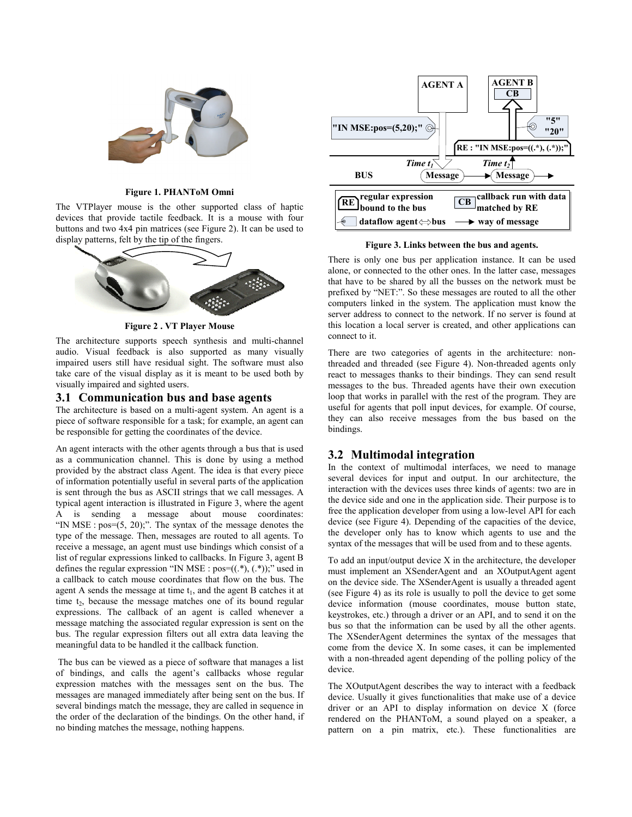

#### Figure 1. PHANToM Omni

The VTPlayer mouse is the other supported class of haptic devices that provide tactile feedback. It is a mouse with four buttons and two 4x4 pin matrices (see Figure 2). It can be used to display patterns, felt by the tip of the fingers.



Figure 2 . VT Player Mouse

The architecture supports speech synthesis and multi-channel audio. Visual feedback is also supported as many visually impaired users still have residual sight. The software must also take care of the visual display as it is meant to be used both by visually impaired and sighted users.

#### 3.1 Communication bus and base agents

The architecture is based on a multi-agent system. An agent is a piece of software responsible for a task; for example, an agent can be responsible for getting the coordinates of the device.

An agent interacts with the other agents through a bus that is used as a communication channel. This is done by using a method provided by the abstract class Agent. The idea is that every piece of information potentially useful in several parts of the application is sent through the bus as ASCII strings that we call messages. A typical agent interaction is illustrated in Figure 3, where the agent A is sending a message about mouse coordinates: "IN MSE : pos= $(5, 20)$ ;". The syntax of the message denotes the type of the message. Then, messages are routed to all agents. To receive a message, an agent must use bindings which consist of a list of regular expressions linked to callbacks. In Figure 3, agent B defines the regular expression "IN MSE :  $pos=((.^*), (.^*));$ " used in a callback to catch mouse coordinates that flow on the bus. The agent A sends the message at time  $t_1$ , and the agent B catches it at time  $t_2$ , because the message matches one of its bound regular expressions. The callback of an agent is called whenever a message matching the associated regular expression is sent on the bus. The regular expression filters out all extra data leaving the meaningful data to be handled it the callback function.

 The bus can be viewed as a piece of software that manages a list of bindings, and calls the agent's callbacks whose regular expression matches with the messages sent on the bus. The messages are managed immediately after being sent on the bus. If several bindings match the message, they are called in sequence in the order of the declaration of the bindings. On the other hand, if no binding matches the message, nothing happens.



Figure 3. Links between the bus and agents.

There is only one bus per application instance. It can be used alone, or connected to the other ones. In the latter case, messages that have to be shared by all the busses on the network must be prefixed by "NET:". So these messages are routed to all the other computers linked in the system. The application must know the server address to connect to the network. If no server is found at this location a local server is created, and other applications can connect to it.

There are two categories of agents in the architecture: nonthreaded and threaded (see Figure 4). Non-threaded agents only react to messages thanks to their bindings. They can send result messages to the bus. Threaded agents have their own execution loop that works in parallel with the rest of the program. They are useful for agents that poll input devices, for example. Of course, they can also receive messages from the bus based on the bindings.

## 3.2 Multimodal integration

In the context of multimodal interfaces, we need to manage several devices for input and output. In our architecture, the interaction with the devices uses three kinds of agents: two are in the device side and one in the application side. Their purpose is to free the application developer from using a low-level API for each device (see Figure 4). Depending of the capacities of the device, the developer only has to know which agents to use and the syntax of the messages that will be used from and to these agents.

To add an input/output device X in the architecture, the developer must implement an XSenderAgent and an XOutputAgent agent on the device side. The XSenderAgent is usually a threaded agent (see Figure 4) as its role is usually to poll the device to get some device information (mouse coordinates, mouse button state, keystrokes, etc.) through a driver or an API, and to send it on the bus so that the information can be used by all the other agents. The XSenderAgent determines the syntax of the messages that come from the device X. In some cases, it can be implemented with a non-threaded agent depending of the polling policy of the device.

The XOutputAgent describes the way to interact with a feedback device. Usually it gives functionalities that make use of a device driver or an API to display information on device X (force rendered on the PHANToM, a sound played on a speaker, a pattern on a pin matrix, etc.). These functionalities are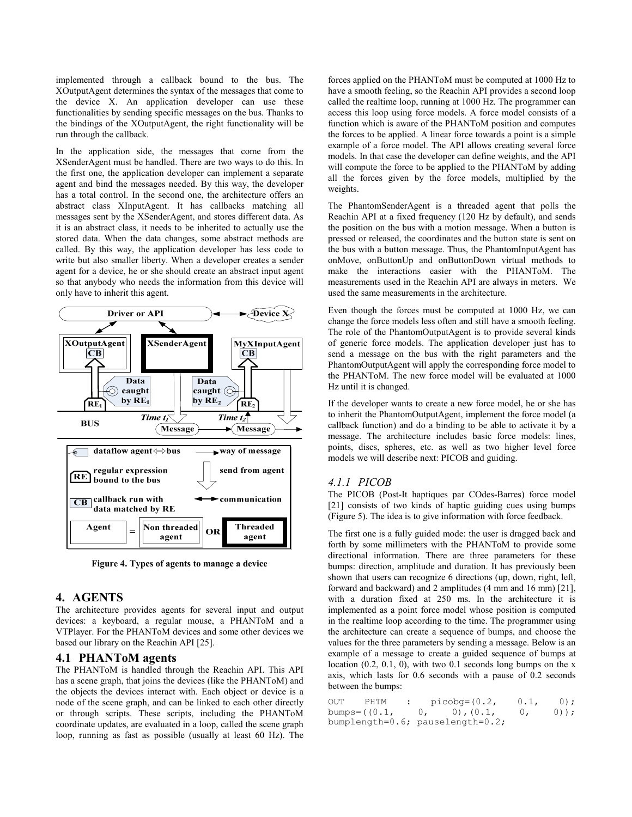implemented through a callback bound to the bus. The XOutputAgent determines the syntax of the messages that come to the device X. An application developer can use these functionalities by sending specific messages on the bus. Thanks to the bindings of the XOutputAgent, the right functionality will be run through the callback.

In the application side, the messages that come from the XSenderAgent must be handled. There are two ways to do this. In the first one, the application developer can implement a separate agent and bind the messages needed. By this way, the developer has a total control. In the second one, the architecture offers an abstract class XInputAgent. It has callbacks matching all messages sent by the XSenderAgent, and stores different data. As it is an abstract class, it needs to be inherited to actually use the stored data. When the data changes, some abstract methods are called. By this way, the application developer has less code to write but also smaller liberty. When a developer creates a sender agent for a device, he or she should create an abstract input agent so that anybody who needs the information from this device will only have to inherit this agent.



Figure 4. Types of agents to manage a device

## 4. AGENTS

The architecture provides agents for several input and output devices: a keyboard, a regular mouse, a PHANToM and a VTPlayer. For the PHANToM devices and some other devices we based our library on the Reachin API [25].

## 4.1 PHANToM agents

The PHANToM is handled through the Reachin API. This API has a scene graph, that joins the devices (like the PHANToM) and the objects the devices interact with. Each object or device is a node of the scene graph, and can be linked to each other directly or through scripts. These scripts, including the PHANToM coordinate updates, are evaluated in a loop, called the scene graph loop, running as fast as possible (usually at least 60 Hz). The

forces applied on the PHANToM must be computed at 1000 Hz to have a smooth feeling, so the Reachin API provides a second loop called the realtime loop, running at 1000 Hz. The programmer can access this loop using force models. A force model consists of a function which is aware of the PHANToM position and computes the forces to be applied. A linear force towards a point is a simple example of a force model. The API allows creating several force models. In that case the developer can define weights, and the API will compute the force to be applied to the PHANToM by adding all the forces given by the force models, multiplied by the weights.

The PhantomSenderAgent is a threaded agent that polls the Reachin API at a fixed frequency (120 Hz by default), and sends the position on the bus with a motion message. When a button is pressed or released, the coordinates and the button state is sent on the bus with a button message. Thus, the PhantomInputAgent has onMove, onButtonUp and onButtonDown virtual methods to make the interactions easier with the PHANToM. The measurements used in the Reachin API are always in meters. We used the same measurements in the architecture.

Even though the forces must be computed at 1000 Hz, we can change the force models less often and still have a smooth feeling. The role of the PhantomOutputAgent is to provide several kinds of generic force models. The application developer just has to send a message on the bus with the right parameters and the PhantomOutputAgent will apply the corresponding force model to the PHANToM. The new force model will be evaluated at 1000 Hz until it is changed.

If the developer wants to create a new force model, he or she has to inherit the PhantomOutputAgent, implement the force model (a callback function) and do a binding to be able to activate it by a message. The architecture includes basic force models: lines, points, discs, spheres, etc. as well as two higher level force models we will describe next: PICOB and guiding.

#### 4.1.1 PICOB

The PICOB (Post-It haptiques par COdes-Barres) force model [21] consists of two kinds of haptic guiding cues using bumps (Figure 5). The idea is to give information with force feedback.

The first one is a fully guided mode: the user is dragged back and forth by some millimeters with the PHANToM to provide some directional information. There are three parameters for these bumps: direction, amplitude and duration. It has previously been shown that users can recognize 6 directions (up, down, right, left, forward and backward) and 2 amplitudes (4 mm and 16 mm) [21], with a duration fixed at 250 ms. In the architecture it is implemented as a point force model whose position is computed in the realtime loop according to the time. The programmer using the architecture can create a sequence of bumps, and choose the values for the three parameters by sending a message. Below is an example of a message to create a guided sequence of bumps at location (0.2, 0.1, 0), with two 0.1 seconds long bumps on the x axis, which lasts for 0.6 seconds with a pause of 0.2 seconds between the bumps:

| OUT | PHTM<br><b>Contract Contract</b> |  | $picobq = (0.2)$                 | $0.1$ ,  | U) ;     |
|-----|----------------------------------|--|----------------------------------|----------|----------|
|     | bumps=((0.1,                     |  | (0, 0), (0, 1, 0)                | $\cup$ , | $0)$ ) : |
|     |                                  |  | bumplength=0.6; pauselength=0.2; |          |          |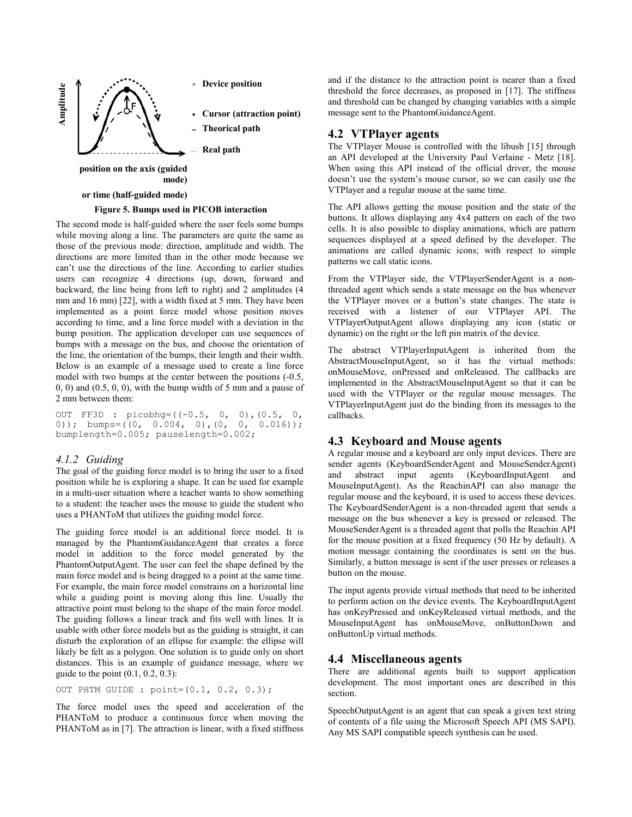

The second mode is half-guided where the user feels some bumps while moving along a line. The parameters are quite the same as those of the previous mode: direction, amplitude and width. The directions are more limited than in the other mode because we can't use the directions of the line. According to earlier studies users can recognize 4 directions (up, down, forward and backward, the line being from left to right) and 2 amplitudes (4 mm and 16 mm) [22], with a width fixed at 5 mm. They have been implemented as a point force model whose position moves according to time, and a line force model with a deviation in the bump position. The application developer can use sequences of bumps with a message on the bus, and choose the orientation of the line, the orientation of the bumps, their length and their width. Below is an example of a message used to create a line force model with two bumps at the center between the positions (-0.5,  $(0, 0)$  and  $(0.5, 0, 0)$ , with the bump width of 5 mm and a pause of 2 mm between them:

OUT FF3D : picobhg=((-0.5, 0, 0),(0.5, 0, 0)); bumps=((0, 0.004, 0),(0, 0, 0.016)); bumplength=0.005; pauselength=0.002;

#### 4.1.2 Guiding

The goal of the guiding force model is to bring the user to a fixed position while he is exploring a shape. It can be used for example in a multi-user situation where a teacher wants to show something to a student: the teacher uses the mouse to guide the student who uses a PHANToM that utilizes the guiding model force.

The guiding force model is an additional force model. It is managed by the PhantomGuidanceAgent that creates a force model in addition to the force model generated by the PhantomOutputAgent. The user can feel the shape defined by the main force model and is being dragged to a point at the same time. For example, the main force model constrains on a horizontal line while a guiding point is moving along this line. Usually the attractive point must belong to the shape of the main force model. The guiding follows a linear track and fits well with lines. It is usable with other force models but as the guiding is straight, it can disturb the exploration of an ellipse for example: the ellipse will likely be felt as a polygon. One solution is to guide only on short distances. This is an example of guidance message, where we guide to the point  $(0.1, 0.2, 0.3)$ :

OUT PHTM GUIDE : point=(0.1, 0.2, 0.3);

The force model uses the speed and acceleration of the PHANToM to produce a continuous force when moving the PHANToM as in [7]. The attraction is linear, with a fixed stiffness and if the distance to the attraction point is nearer than a fixed threshold the force decreases, as proposed in [17]. The stiffness and threshold can be changed by changing variables with a simple message sent to the PhantomGuidanceAgent.

## 4.2 VTPlayer agents

The VTPlayer Mouse is controlled with the libusb [15] through an API developed at the University Paul Verlaine - Metz [18]. When using this API instead of the official driver, the mouse doesn't use the system's mouse cursor, so we can easily use the VTPlayer and a regular mouse at the same time.

The API allows getting the mouse position and the state of the buttons. It allows displaying any 4x4 pattern on each of the two cells. It is also possible to display animations, which are pattern sequences displayed at a speed defined by the developer. The animations are called dynamic icons; with respect to simple patterns we call static icons.

From the VTPlayer side, the VTPlayerSenderAgent is a nonthreaded agent which sends a state message on the bus whenever the VTPlayer moves or a button's state changes. The state is received with a listener of our VTPlayer API. The VTPlayerOutputAgent allows displaying any icon (static or dynamic) on the right or the left pin matrix of the device.

The abstract VTPlayerInputAgent is inherited from the AbstractMouseInputAgent, so it has the virtual methods: onMouseMove, onPressed and onReleased. The callbacks are implemented in the AbstractMouseInputAgent so that it can be used with the VTPlayer or the regular mouse messages. The VTPlayerInputAgent just do the binding from its messages to the callbacks.

## 4.3 Keyboard and Mouse agents

A regular mouse and a keyboard are only input devices. There are sender agents (KeyboardSenderAgent and MouseSenderAgent) and abstract input agents (KeyboardInputAgent and MouseInputAgent). As the ReachinAPI can also manage the regular mouse and the keyboard, it is used to access these devices. The KeyboardSenderAgent is a non-threaded agent that sends a message on the bus whenever a key is pressed or released. The MouseSenderAgent is a threaded agent that polls the Reachin API for the mouse position at a fixed frequency (50 Hz by default). A motion message containing the coordinates is sent on the bus. Similarly, a button message is sent if the user presses or releases a button on the mouse.

The input agents provide virtual methods that need to be inherited to perform action on the device events. The KeyboardInputAgent has onKeyPressed and onKeyReleased virtual methods, and the MouseInputAgent has onMouseMove, onButtonDown and onButtonUp virtual methods.

## 4.4 Miscellaneous agents

There are additional agents built to support application development. The most important ones are described in this section.

SpeechOutputAgent is an agent that can speak a given text string of contents of a file using the Microsoft Speech API (MS SAPI). Any MS SAPI compatible speech synthesis can be used.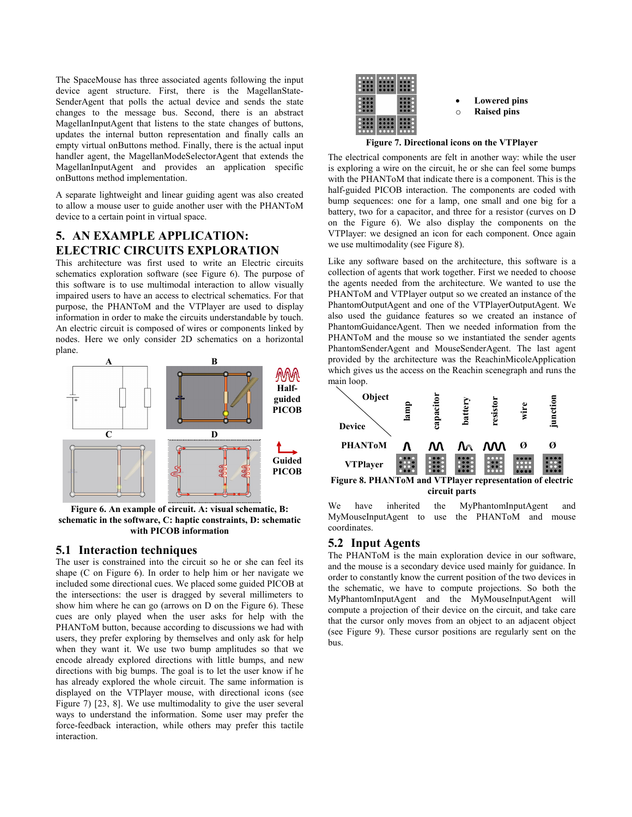The SpaceMouse has three associated agents following the input device agent structure. First, there is the MagellanState-SenderAgent that polls the actual device and sends the state changes to the message bus. Second, there is an abstract MagellanInputAgent that listens to the state changes of buttons, updates the internal button representation and finally calls an empty virtual onButtons method. Finally, there is the actual input handler agent, the MagellanModeSelectorAgent that extends the MagellanInputAgent and provides an application specific onButtons method implementation.

A separate lightweight and linear guiding agent was also created to allow a mouse user to guide another user with the PHANToM device to a certain point in virtual space.

## 5. AN EXAMPLE APPLICATION: ELECTRIC CIRCUITS EXPLORATION

This architecture was first used to write an Electric circuits schematics exploration software (see Figure 6). The purpose of this software is to use multimodal interaction to allow visually impaired users to have an access to electrical schematics. For that purpose, the PHANToM and the VTPlayer are used to display information in order to make the circuits understandable by touch. An electric circuit is composed of wires or components linked by nodes. Here we only consider 2D schematics on a horizontal plane.



Figure 6. An example of circuit. A: visual schematic, B: schematic in the software, C: haptic constraints, D: schematic with PICOB information

## 5.1 Interaction techniques

The user is constrained into the circuit so he or she can feel its shape (C on Figure 6). In order to help him or her navigate we included some directional cues. We placed some guided PICOB at the intersections: the user is dragged by several millimeters to show him where he can go (arrows on D on the Figure 6). These cues are only played when the user asks for help with the PHANToM button, because according to discussions we had with users, they prefer exploring by themselves and only ask for help when they want it. We use two bump amplitudes so that we encode already explored directions with little bumps, and new directions with big bumps. The goal is to let the user know if he has already explored the whole circuit. The same information is displayed on the VTPlayer mouse, with directional icons (see Figure 7) [23, 8]. We use multimodality to give the user several ways to understand the information. Some user may prefer the force-feedback interaction, while others may prefer this tactile interaction.



o Raised pins

Lowered pins

Figure 7. Directional icons on the VTPlayer

The electrical components are felt in another way: while the user is exploring a wire on the circuit, he or she can feel some bumps with the PHANToM that indicate there is a component. This is the half-guided PICOB interaction. The components are coded with bump sequences: one for a lamp, one small and one big for a battery, two for a capacitor, and three for a resistor (curves on D on the Figure 6). We also display the components on the VTPlayer: we designed an icon for each component. Once again we use multimodality (see Figure 8).

Like any software based on the architecture, this software is a collection of agents that work together. First we needed to choose the agents needed from the architecture. We wanted to use the PHANToM and VTPlayer output so we created an instance of the PhantomOutputAgent and one of the VTPlayerOutputAgent. We also used the guidance features so we created an instance of PhantomGuidanceAgent. Then we needed information from the PHANToM and the mouse so we instantiated the sender agents PhantomSenderAgent and MouseSenderAgent. The last agent provided by the architecture was the ReachinMicoleApplication which gives us the access on the Reachin scenegraph and runs the main loop.



We have inherited the MyPhantomInputAgent and MyMouseInputAgent to use the PHANToM and mouse coordinates.

#### 5.2 Input Agents

The PHANToM is the main exploration device in our software, and the mouse is a secondary device used mainly for guidance. In order to constantly know the current position of the two devices in the schematic, we have to compute projections. So both the MyPhantomInputAgent and the MyMouseInputAgent will compute a projection of their device on the circuit, and take care that the cursor only moves from an object to an adjacent object (see Figure 9). These cursor positions are regularly sent on the bus.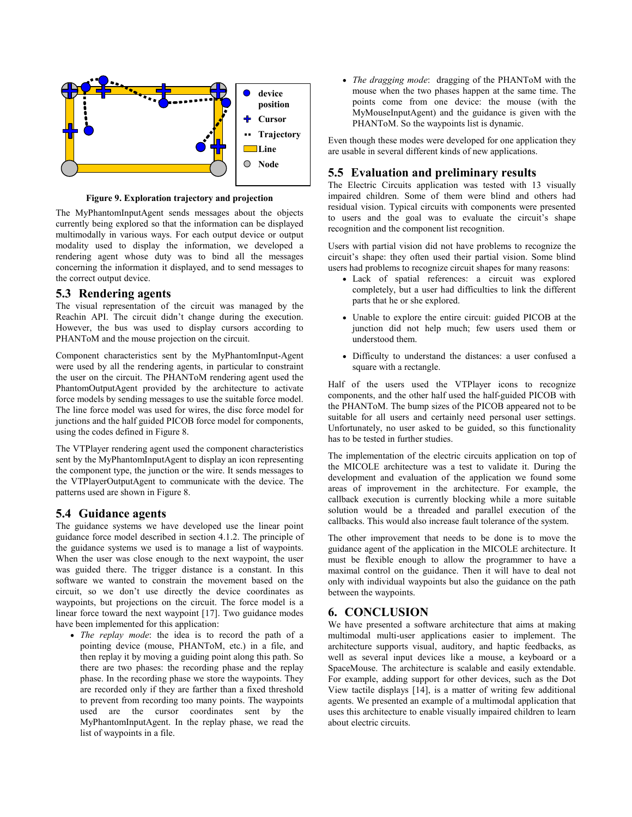

Figure 9. Exploration trajectory and projection

The MyPhantomInputAgent sends messages about the objects currently being explored so that the information can be displayed multimodally in various ways. For each output device or output modality used to display the information, we developed a rendering agent whose duty was to bind all the messages concerning the information it displayed, and to send messages to the correct output device.

#### 5.3 Rendering agents

The visual representation of the circuit was managed by the Reachin API. The circuit didn't change during the execution. However, the bus was used to display cursors according to PHANToM and the mouse projection on the circuit.

Component characteristics sent by the MyPhantomInput-Agent were used by all the rendering agents, in particular to constraint the user on the circuit. The PHANToM rendering agent used the PhantomOutputAgent provided by the architecture to activate force models by sending messages to use the suitable force model. The line force model was used for wires, the disc force model for junctions and the half guided PICOB force model for components, using the codes defined in Figure 8.

The VTPlayer rendering agent used the component characteristics sent by the MyPhantomInputAgent to display an icon representing the component type, the junction or the wire. It sends messages to the VTPlayerOutputAgent to communicate with the device. The patterns used are shown in Figure 8.

#### 5.4 Guidance agents

The guidance systems we have developed use the linear point guidance force model described in section 4.1.2. The principle of the guidance systems we used is to manage a list of waypoints. When the user was close enough to the next waypoint, the user was guided there. The trigger distance is a constant. In this software we wanted to constrain the movement based on the circuit, so we don't use directly the device coordinates as waypoints, but projections on the circuit. The force model is a linear force toward the next waypoint [17]. Two guidance modes have been implemented for this application:

• The replay mode: the idea is to record the path of a pointing device (mouse, PHANToM, etc.) in a file, and then replay it by moving a guiding point along this path. So there are two phases: the recording phase and the replay phase. In the recording phase we store the waypoints. They are recorded only if they are farther than a fixed threshold to prevent from recording too many points. The waypoints used are the cursor coordinates sent by the MyPhantomInputAgent. In the replay phase, we read the list of waypoints in a file.

• The dragging mode: dragging of the PHANToM with the mouse when the two phases happen at the same time. The points come from one device: the mouse (with the MyMouseInputAgent) and the guidance is given with the PHANToM. So the waypoints list is dynamic.

Even though these modes were developed for one application they are usable in several different kinds of new applications.

#### 5.5 Evaluation and preliminary results

The Electric Circuits application was tested with 13 visually impaired children. Some of them were blind and others had residual vision. Typical circuits with components were presented to users and the goal was to evaluate the circuit's shape recognition and the component list recognition.

Users with partial vision did not have problems to recognize the circuit's shape: they often used their partial vision. Some blind users had problems to recognize circuit shapes for many reasons:

- Lack of spatial references: a circuit was explored completely, but a user had difficulties to link the different parts that he or she explored.
- Unable to explore the entire circuit: guided PICOB at the junction did not help much; few users used them or understood them.
- Difficulty to understand the distances: a user confused a square with a rectangle.

Half of the users used the VTPlayer icons to recognize components, and the other half used the half-guided PICOB with the PHANToM. The bump sizes of the PICOB appeared not to be suitable for all users and certainly need personal user settings. Unfortunately, no user asked to be guided, so this functionality has to be tested in further studies.

The implementation of the electric circuits application on top of the MICOLE architecture was a test to validate it. During the development and evaluation of the application we found some areas of improvement in the architecture. For example, the callback execution is currently blocking while a more suitable solution would be a threaded and parallel execution of the callbacks. This would also increase fault tolerance of the system.

The other improvement that needs to be done is to move the guidance agent of the application in the MICOLE architecture. It must be flexible enough to allow the programmer to have a maximal control on the guidance. Then it will have to deal not only with individual waypoints but also the guidance on the path between the waypoints.

## 6. CONCLUSION

We have presented a software architecture that aims at making multimodal multi-user applications easier to implement. The architecture supports visual, auditory, and haptic feedbacks, as well as several input devices like a mouse, a keyboard or a SpaceMouse. The architecture is scalable and easily extendable. For example, adding support for other devices, such as the Dot View tactile displays [14], is a matter of writing few additional agents. We presented an example of a multimodal application that uses this architecture to enable visually impaired children to learn about electric circuits.